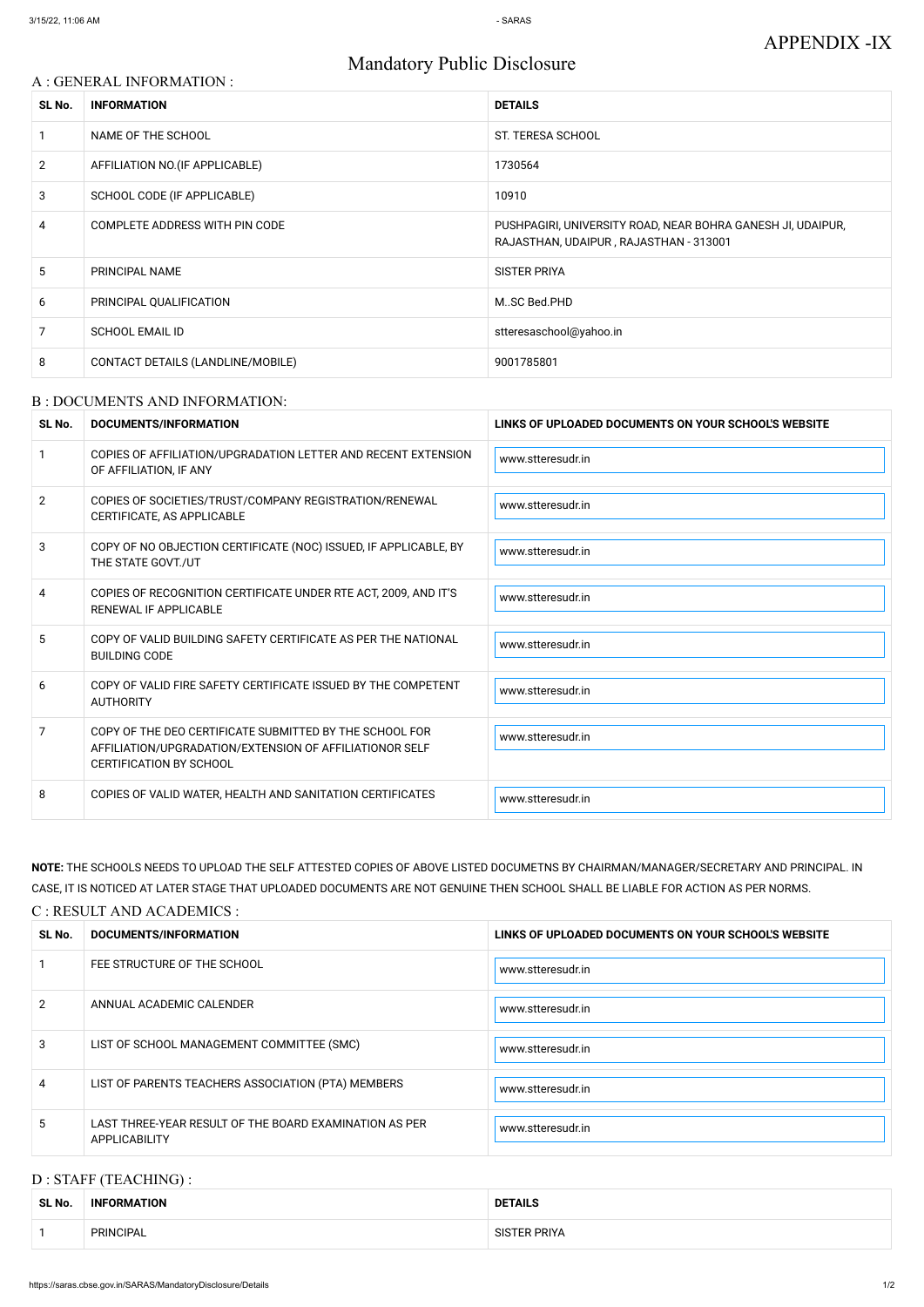# Mandatory Public Disclosure

#### A : GENERAL INFORMATION :

| SL No.         | <b>INFORMATION</b>                | <b>DETAILS</b>                                                                                        |
|----------------|-----------------------------------|-------------------------------------------------------------------------------------------------------|
|                | NAME OF THE SCHOOL                | <b>ST. TERESA SCHOOL</b>                                                                              |
| $\overline{2}$ | AFFILIATION NO. (IF APPLICABLE)   | 1730564                                                                                               |
| 3              | SCHOOL CODE (IF APPLICABLE)       | 10910                                                                                                 |
| 4              | COMPLETE ADDRESS WITH PIN CODE    | PUSHPAGIRI, UNIVERSITY ROAD, NEAR BOHRA GANESH JI, UDAIPUR,<br>RAJASTHAN, UDAIPUR, RAJASTHAN - 313001 |
| 5              | PRINCIPAL NAME                    | <b>SISTER PRIYA</b>                                                                                   |
| 6              | PRINCIPAL QUALIFICATION           | MSC Bed.PHD                                                                                           |
| 7              | <b>SCHOOL EMAIL ID</b>            | stteresaschool@yahoo.in                                                                               |
| 8              | CONTACT DETAILS (LANDLINE/MOBILE) | 9001785801                                                                                            |

#### B : DOCUMENTS AND INFORMATION:

| SL No.         | <b>DOCUMENTS/INFORMATION</b>                                                                                                                         | LINKS OF UPLOADED DOCUMENTS ON YOUR SCHOOL'S WEBSITE |
|----------------|------------------------------------------------------------------------------------------------------------------------------------------------------|------------------------------------------------------|
|                | COPIES OF AFFILIATION/UPGRADATION LETTER AND RECENT EXTENSION<br>OF AFFILIATION, IF ANY                                                              | www.stteresudr.in                                    |
| $\overline{2}$ | COPIES OF SOCIETIES/TRUST/COMPANY REGISTRATION/RENEWAL<br>CERTIFICATE, AS APPLICABLE                                                                 | www.stteresudr.in                                    |
| 3              | COPY OF NO OBJECTION CERTIFICATE (NOC) ISSUED, IF APPLICABLE, BY<br>THE STATE GOVT./UT                                                               | www.stteresudr.in                                    |
| 4              | COPIES OF RECOGNITION CERTIFICATE UNDER RTE ACT, 2009, AND IT'S<br>RENEWAL IF APPLICABLE                                                             | www.stteresudr.in                                    |
| 5              | COPY OF VALID BUILDING SAFETY CERTIFICATE AS PER THE NATIONAL<br><b>BUILDING CODE</b>                                                                | www.stteresudr.in                                    |
| 6              | COPY OF VALID FIRE SAFETY CERTIFICATE ISSUED BY THE COMPETENT<br><b>AUTHORITY</b>                                                                    | www.stteresudr.in                                    |
| $\overline{7}$ | COPY OF THE DEO CERTIFICATE SUBMITTED BY THE SCHOOL FOR<br>AFFILIATION/UPGRADATION/EXTENSION OF AFFILIATIONOR SELF<br><b>CERTIFICATION BY SCHOOL</b> | www.stteresudr.in                                    |
| 8              | COPIES OF VALID WATER, HEALTH AND SANITATION CERTIFICATES                                                                                            | www.stteresudr.in                                    |

| 2              | ANNUAL ACADEMIC CALENDER                                                | www.stteresudr.in |
|----------------|-------------------------------------------------------------------------|-------------------|
| 3              | LIST OF SCHOOL MANAGEMENT COMMITTEE (SMC)                               | www.stteresudr.in |
| $\overline{4}$ | LIST OF PARENTS TEACHERS ASSOCIATION (PTA) MEMBERS                      | www.stteresudr.in |
| 5              | LAST THREE-YEAR RESULT OF THE BOARD EXAMINATION AS PER<br>APPLICABILITY | www.stteresudr.in |

**NOTE:** THE SCHOOLS NEEDS TO UPLOAD THE SELF ATTESTED COPIES OF ABOVE LISTED DOCUMETNS BY CHAIRMAN/MANAGER/SECRETARY AND PRINCIPAL. IN CASE, IT IS NOTICED AT LATER STAGE THAT UPLOADED DOCUMENTS ARE NOT GENUINE THEN SCHOOL SHALL BE LIABLE FOR ACTION AS PER NORMS.

#### C : RESULT AND ACADEMICS :

| SL No. | DOCUMENTS/INFORMATION       | LINKS OF UPLOADED DOCUMENTS ON YOUR SCHOOL'S WEBSITE |  |
|--------|-----------------------------|------------------------------------------------------|--|
|        | FEE STRUCTURE OF THE SCHOOL | www.stteresudr.in                                    |  |

### D : STAFF (TEACHING) :

| SL No. | <b>INFORMATION</b> | <b>DETAILS</b>      |  |
|--------|--------------------|---------------------|--|
|        | <b>PRINCIPAL</b>   | <b>SISTER PRIYA</b> |  |